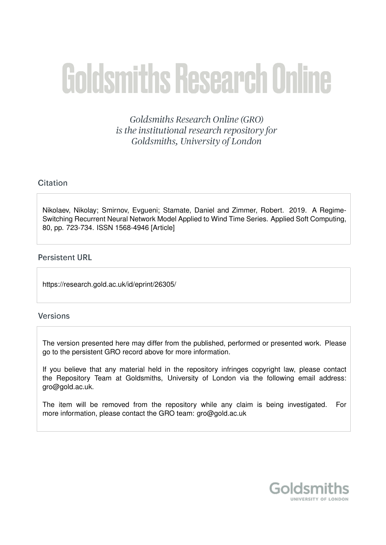# **Goldsmiths Research Online**

Goldsmiths Research Online (GRO) is the institutional research repository for Goldsmiths, University of London

# Citation

Nikolaev, Nikolay; Smirnov, Evgueni; Stamate, Daniel and Zimmer, Robert. 2019. A Regime-Switching Recurrent Neural Network Model Applied to Wind Time Series. Applied Soft Computing, 80, pp. 723-734. ISSN 1568-4946 [Article]

# **Persistent URL**

https://research.gold.ac.uk/id/eprint/26305/

# **Versions**

The version presented here may differ from the published, performed or presented work. Please go to the persistent GRO record above for more information.

If you believe that any material held in the repository infringes copyright law, please contact the Repository Team at Goldsmiths, University of London via the following email address: gro@gold.ac.uk.

The item will be removed from the repository while any claim is being investigated. For more information, please contact the GRO team: gro@gold.ac.uk

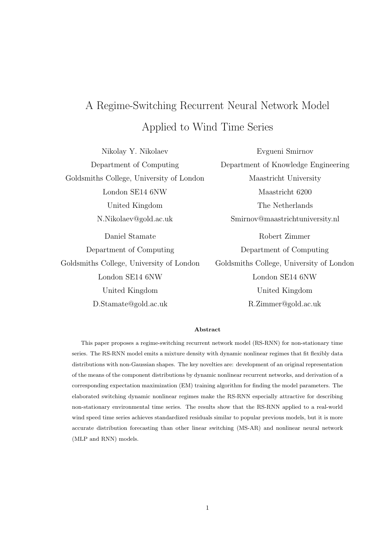# A Regime-Switching Recurrent Neural Network Model Applied to Wind Time Series

Nikolay Y. Nikolaev Department of Computing Goldsmiths College, University of London London SE14 6NW United Kingdom N.Nikolaev@gold.ac.uk Daniel Stamate Department of Computing Goldsmiths College, University of London London SE14 6NW United Kingdom D.Stamate@gold.ac.uk

Evgueni Smirnov Department of Knowledge Engineering Maastricht University Maastricht 6200 The Netherlands Smirnov@maastrichtuniversity.nl Robert Zimmer Department of Computing Goldsmiths College, University of London London SE14 6NW United Kingdom R.Zimmer@gold.ac.uk

# **Abstract**

This paper proposes a regime-switching recurrent network model (RS-RNN) for non-stationary time series. The RS-RNN model emits a mixture density with dynamic nonlinear regimes that fit flexibly data distributions with non-Gaussian shapes. The key novelties are: development of an original representation of the means of the component distributions by dynamic nonlinear recurrent networks, and derivation of a corresponding expectation maximization (EM) training algorithm for finding the model parameters. The elaborated switching dynamic nonlinear regimes make the RS-RNN especially attractive for describing non-stationary environmental time series. The results show that the RS-RNN applied to a real-world wind speed time series achieves standardized residuals similar to popular previous models, but it is more accurate distribution forecasting than other linear switching (MS-AR) and nonlinear neural network (MLP and RNN) models.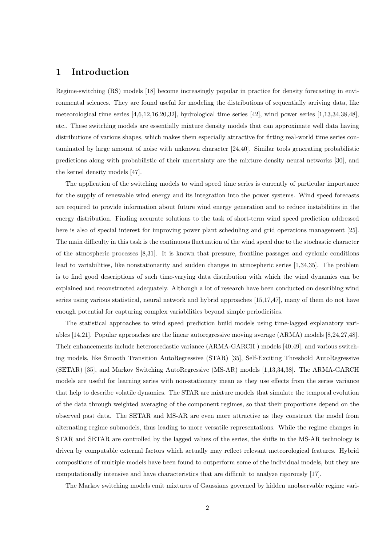# **1 Introduction**

Regime-switching (RS) models [18] become increasingly popular in practice for density forecasting in environmental sciences. They are found useful for modeling the distributions of sequentially arriving data, like meteorological time series [4,6,12,16,20,32], hydrological time series [42], wind power series [1,13,34,38,48], etc.. These switching models are essentially mixture density models that can approximate well data having distributions of various shapes, which makes them especially attractive for fitting real-world time series contaminated by large amount of noise with unknown character [24,40]. Similar tools generating probabilistic predictions along with probabilistic of their uncertainty are the mixture density neural networks [30], and the kernel density models [47].

The application of the switching models to wind speed time series is currently of particular importance for the supply of renewable wind energy and its integration into the power systems. Wind speed forecasts are required to provide information about future wind energy generation and to reduce instabilities in the energy distribution. Finding accurate solutions to the task of short-term wind speed prediction addressed here is also of special interest for improving power plant scheduling and grid operations management [25]. The main difficulty in this task is the continuous fluctuation of the wind speed due to the stochastic character of the atmospheric processes [8,31]. It is known that pressure, frontline passages and cyclonic conditions lead to variabilities, like nonstationarity and sudden changes in atmospheric series [1,34,35]. The problem is to find good descriptions of such time-varying data distribution with which the wind dynamics can be explained and reconstructed adequately. Although a lot of research have been conducted on describing wind series using various statistical, neural network and hybrid approaches [15,17,47], many of them do not have enough potential for capturing complex variabilities beyond simple periodicities.

The statistical approaches to wind speed prediction build models using time-lagged explanatory variables [14,21]. Popular approaches are the linear autoregressive moving average (ARMA) models [8,24,27,48]. Their enhancements include heteroscedastic variance (ARMA-GARCH ) models [40,49], and various switching models, like Smooth Transition AutoRegressive (STAR) [35], Self-Exciting Threshold AutoRegressive (SETAR) [35], and Markov Switching AutoRegressive (MS-AR) models [1,13,34,38]. The ARMA-GARCH models are useful for learning series with non-stationary mean as they use effects from the series variance that help to describe volatile dynamics. The STAR are mixture models that simulate the temporal evolution of the data through weighted averaging of the component regimes, so that their proportions depend on the observed past data. The SETAR and MS-AR are even more attractive as they construct the model from alternating regime submodels, thus leading to more versatile representations. While the regime changes in STAR and SETAR are controlled by the lagged values of the series, the shifts in the MS-AR technology is driven by computable external factors which actually may reflect relevant meteorological features. Hybrid compositions of multiple models have been found to outperform some of the individual models, but they are computationally intensive and have characteristics that are difficult to analyze rigorously [17].

The Markov switching models emit mixtures of Gaussians governed by hidden unobservable regime vari-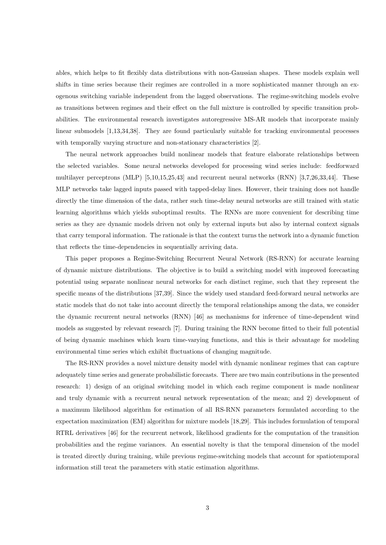ables, which helps to fit flexibly data distributions with non-Gaussian shapes. These models explain well shifts in time series because their regimes are controlled in a more sophisticated manner through an exogenous switching variable independent from the lagged observations. The regime-switching models evolve as transitions between regimes and their effect on the full mixture is controlled by specific transition probabilities. The environmental research investigates autoregressive MS-AR models that incorporate mainly linear submodels [1,13,34,38]. They are found particularly suitable for tracking environmental processes with temporally varying structure and non-stationary characteristics [2].

The neural network approaches build nonlinear models that feature elaborate relationships between the selected variables. Some neural networks developed for processing wind series include: feedforward multilayer perceptrons (MLP) [5,10,15,25,43] and recurrent neural networks (RNN) [3,7,26,33,44]. These MLP networks take lagged inputs passed with tapped-delay lines. However, their training does not handle directly the time dimension of the data, rather such time-delay neural networks are still trained with static learning algorithms which yields suboptimal results. The RNNs are more convenient for describing time series as they are dynamic models driven not only by external inputs but also by internal context signals that carry temporal information. The rationale is that the context turns the network into a dynamic function that reflects the time-dependencies in sequentially arriving data.

This paper proposes a Regime-Switching Recurrent Neural Network (RS-RNN) for accurate learning of dynamic mixture distributions. The objective is to build a switching model with improved forecasting potential using separate nonlinear neural networks for each distinct regime, such that they represent the specific means of the distributions [37,39]. Since the widely used standard feed-forward neural networks are static models that do not take into account directly the temporal relationships among the data, we consider the dynamic recurrent neural networks (RNN) [46] as mechanisms for inference of time-dependent wind models as suggested by relevant research [7]. During training the RNN become fitted to their full potential of being dynamic machines which learn time-varying functions, and this is their advantage for modeling environmental time series which exhibit fluctuations of changing magnitude.

The RS-RNN provides a novel mixture density model with dynamic nonlinear regimes that can capture adequately time series and generate probabilistic forecasts. There are two main contributions in the presented research: 1) design of an original switching model in which each regime component is made nonlinear and truly dynamic with a recurrent neural network representation of the mean; and 2) development of a maximum likelihood algorithm for estimation of all RS-RNN parameters formulated according to the expectation maximization (EM) algorithm for mixture models [18,29]. This includes formulation of temporal RTRL derivatives [46] for the recurrent network, likelihood gradients for the computation of the transition probabilities and the regime variances. An essential novelty is that the temporal dimension of the model is treated directly during training, while previous regime-switching models that account for spatiotemporal information still treat the parameters with static estimation algorithms.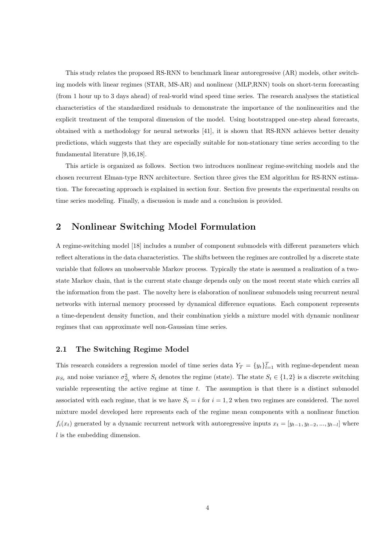This study relates the proposed RS-RNN to benchmark linear autoregressive (AR) models, other switching models with linear regimes (STAR, MS-AR) and nonlinear (MLP,RNN) tools on short-term forecasting (from 1 hour up to 3 days ahead) of real-world wind speed time series. The research analyses the statistical characteristics of the standardized residuals to demonstrate the importance of the nonlinearities and the explicit treatment of the temporal dimension of the model. Using bootstrapped one-step ahead forecasts, obtained with a methodology for neural networks [41], it is shown that RS-RNN achieves better density predictions, which suggests that they are especially suitable for non-stationary time series according to the fundamental literature [9,16,18].

This article is organized as follows. Section two introduces nonlinear regime-switching models and the chosen recurrent Elman-type RNN architecture. Section three gives the EM algorithm for RS-RNN estimation. The forecasting approach is explained in section four. Section five presents the experimental results on time series modeling. Finally, a discussion is made and a conclusion is provided.

# **2 Nonlinear Switching Model Formulation**

A regime-switching model [18] includes a number of component submodels with different parameters which reflect alterations in the data characteristics. The shifts between the regimes are controlled by a discrete state variable that follows an unobservable Markov process. Typically the state is assumed a realization of a twostate Markov chain, that is the current state change depends only on the most recent state which carries all the information from the past. The novelty here is elaboration of nonlinear submodels using recurrent neural networks with internal memory processed by dynamical difference equations. Each component represents a time-dependent density function, and their combination yields a mixture model with dynamic nonlinear regimes that can approximate well non-Gaussian time series.

## **2.1 The Switching Regime Model**

This research considers a regression model of time series data  $Y_T = \{y_t\}_{t=1}^T$  with regime-dependent mean  $\mu_{S_t}$  and noise variance  $\sigma_{S_t}^2$  where  $S_t$  denotes the regime (state). The state  $S_t \in \{1,2\}$  is a discrete switching variable representing the active regime at time *t*. The assumption is that there is a distinct submodel associated with each regime, that is we have  $S_t = i$  for  $i = 1, 2$  when two regimes are considered. The novel mixture model developed here represents each of the regime mean components with a nonlinear function  $f_i(x_t)$  generated by a dynamic recurrent network with autoregressive inputs  $x_t = [y_{t-1}, y_{t-2}, ..., y_{t-l}]$  where *l* is the embedding dimension.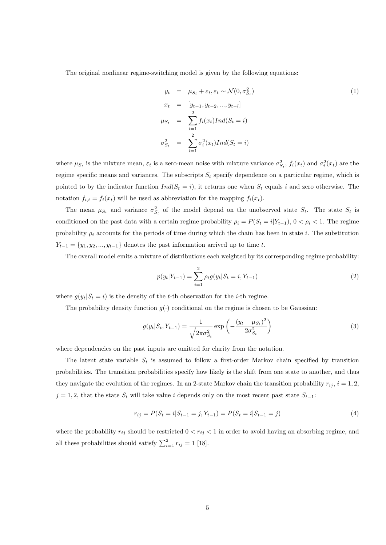The original nonlinear regime-switching model is given by the following equations:

$$
y_t = \mu_{S_t} + \varepsilon_t, \varepsilon_t \sim \mathcal{N}(0, \sigma_{S_t}^2)
$$
  
\n
$$
x_t = [y_{t-1}, y_{t-2}, ..., y_{t-l}]
$$
  
\n
$$
\mu_{S_t} = \sum_{i=1}^2 f_i(x_t) Ind(S_t = i)
$$
  
\n
$$
\sigma_{S_t}^2 = \sum_{i=1}^2 \sigma_i^2(x_t) Ind(S_t = i)
$$
\n(1)

where  $\mu_{S_t}$  is the mixture mean,  $\varepsilon_t$  is a zero-mean noise with mixture variance  $\sigma_{S_t}^2$ ,  $f_i(x_t)$  and  $\sigma_i^2(x_t)$  are the regime specific means and variances. The subscripts  $S_t$  specify dependence on a particular regime, which is pointed to by the indicator function  $Ind(S_t = i)$ , it returns one when  $S_t$  equals *i* and zero otherwise. The notation  $f_{i,t} = f_i(x_t)$  will be used as abbreviation for the mapping  $f_i(x_t)$ .

The mean  $\mu_{S_t}$  and variance  $\sigma_{S_t}^2$  of the model depend on the unobserved state  $S_t$ . The state  $S_t$  is conditioned on the past data with a certain regime probability  $\rho_i = P(S_t = i | Y_{t-1}), 0 < \rho_i < 1$ . The regime probability  $\rho_i$  accounts for the periods of time during which the chain has been in state *i*. The substitution  $Y_{t-1} = \{y_1, y_2, \ldots, y_{t-1}\}$  denotes the past information arrived up to time *t*.

The overall model emits a mixture of distributions each weighted by its corresponding regime probability:

$$
p(y_t|Y_{t-1}) = \sum_{i=1}^{2} \rho_i g(y_t|S_t = i, Y_{t-1})
$$
\n(2)

where  $g(y_t|S_t = i)$  is the density of the *t*-th observation for the *i*-th regime.

The probability density function  $g(\cdot)$  conditional on the regime is chosen to be Gaussian:

$$
g(y_t|S_t, Y_{t-1}) = \frac{1}{\sqrt{2\pi\sigma_{S_t}^2}} \exp\left(-\frac{(y_t - \mu_{S_t})^2}{2\sigma_{S_t}^2}\right)
$$
(3)

where dependencies on the past inputs are omitted for clarity from the notation.

The latent state variable  $S_t$  is assumed to follow a first-order Markov chain specified by transition probabilities. The transition probabilities specify how likely is the shift from one state to another, and thus they navigate the evolution of the regimes. In an 2-state Markov chain the transition probability  $r_{ij}$ ,  $i = 1, 2$ ,  $j = 1, 2$ , that the state  $S_t$  will take value *i* depends only on the most recent past state  $S_{t-1}$ :

$$
r_{ij} = P(S_t = i | S_{t-1} = j, Y_{t-1}) = P(S_t = i | S_{t-1} = j)
$$
\n<sup>(4)</sup>

where the probability  $r_{ij}$  should be restricted  $0 < r_{ij} < 1$  in order to avoid having an absorbing regime, and all these probabilities should satisfy  $\sum_{i=1}^{2} r_{ij} = 1$  [18].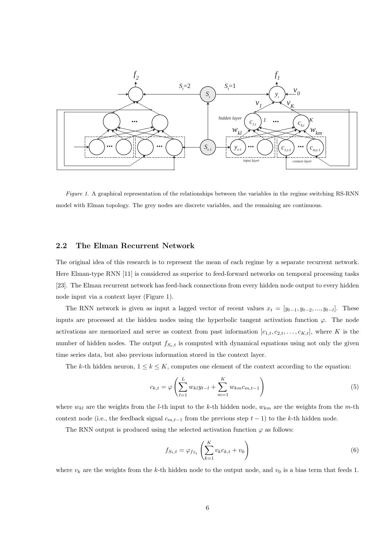

*Figure 1*. A graphical representation of the relationships between the variables in the regime switching RS-RNN model with Elman topology. The grey nodes are discrete variables, and the remaining are continuous.

# **2.2 The Elman Recurrent Network**

The original idea of this research is to represent the mean of each regime by a separate recurrent network. Here Elman-type RNN [11] is considered as superior to feed-forward networks on temporal processing tasks [23]. The Elman recurrent network has feed-back connections from every hidden node output to every hidden node input via a context layer (Figure 1).

The RNN network is given as input a lagged vector of recent values  $x_t = [y_{t-1}, y_{t-2}, ..., y_{t-l}]$ . These inputs are processed at the hidden nodes using the hyperbolic tangent activation function  $\varphi$ . The node activations are memorized and serve as context from past information  $[c_{1,t}, c_{2,t}, \ldots, c_{K,t}]$ , where *K* is the number of hidden nodes. The output  $f_{S_t,t}$  is computed with dynamical equations using not only the given time series data, but also previous information stored in the context layer.

The *k*-th hidden neuron,  $1 \leq k \leq K$ , computes one element of the context according to the equation:

$$
c_{k,t} = \varphi \left( \sum_{l=1}^{L} w_{kl} y_{t-l} + \sum_{m=1}^{K} w_{km} c_{m,t-1} \right)
$$
 (5)

where  $w_{kl}$  are the weights from the *l*-th input to the *k*-th hidden node,  $w_{km}$  are the weights from the *m*-th context node (i.e., the feedback signal  $c_{m,t-1}$  from the previous step  $t-1$ ) to the *k*-th hidden node.

The RNN output is produced using the selected activation function  $\varphi$  as follows:

$$
f_{S_t,t} = \varphi_{f_{S_t}} \left( \sum_{k=1}^K v_k c_{k,t} + v_0 \right) \tag{6}
$$

where  $v_k$  are the weights from the *k*-th hidden node to the output node, and  $v_0$  is a bias term that feeds 1.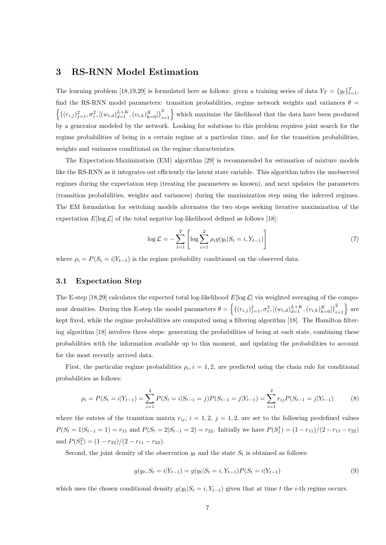# **3 RS-RNN Model Estimation**

The learning problem [18,19,29] is formulated here as follows: given a training series of data  $Y_T = \{y_t\}_{t=1}^T$ , find the RS-RNN model parameters: transition probabilities, regime network weights and variances  $\theta$  =  $\left\{ \left( (r_{i,j})_{j=1}^2, \sigma_i^2, \left[ (w_{i,d})_{d=1}^{L+K}, (v_{i,k})_{k=0}^K \right] \right)_{i=1}^2 \right\}$  which maximize the likelihood that the data have been produced by a generator modeled by the network. Looking for solutions to this problem requires joint search for the regime probabilities of being in a certain regime at a particular time, and for the transition probabilities, weights and variances conditional on the regime characteristics.

The Expectation-Maximization (EM) algorithm [29] is recommended for estimation of mixture models like the RS-RNN as it integrates out efficiently the latent state variable. This algorithm infers the unobserved regimes during the expectation step (treating the parameters as known), and next updates the parameters (transition probabilities, weights and variances) during the maximization step using the inferred regimes. The EM formulation for switching models alternates the two steps seeking iterative maximization of the expectation  $E[\log \mathcal{L}]$  of the total negative log-likelihood defined as follows [18]:

$$
\log \mathcal{L} = -\sum_{t=1}^{T} \left[ \log \sum_{i=1}^{2} \rho_i g(y_t | S_t = i, Y_{t-1}) \right]
$$
(7)

where  $\rho_i = P(S_t = i | Y_{t-1})$  is the regime probability conditioned on the observed data.

## **3.1 Expectation Step**

The E-step [18,29] calculates the expected total log-likelihood  $E[\log \mathcal{L}]$  via weighted averaging of the component densities. During this E-step the model parameters  $\theta = \left\{ \left( (r_{i,j})_{j=1}^2, \sigma_i^2, \left[ (w_{i,d})_{d=1}^{L+K}, (v_{i,k})_{k=0}^K \right] \right)_{i=1}^2 \right\}$  are kept fixed, while the regime probabilities are computed using a filtering algorithm [18]. The Hamilton filtering algorithm [18] involves three steps: generating the probabilities of being at each state, combining these probabilities with the information available up to this moment, and updating the probabilities to account for the most recently arrived data.

First, the particular regime probabilities  $\rho_i$ ,  $i = 1, 2$ , are predicted using the chain rule for conditional probabilities as follows:

$$
\rho_i = P(S_t = i | Y_{t-1}) = \sum_{i=1}^2 P(S_t = i | S_{t-1} = j) P(S_{t-1} = j | Y_{t-1}) = \sum_{i=1}^2 r_{ij} P(S_{t-1} = j | Y_{t-1})
$$
(8)

where the entries of the transition matrix  $r_{ij}$ ,  $i = 1, 2$ ,  $j = 1, 2$ , are set to the following predefined values  $P(S_t = 1|S_{t-1} = 1) = r_{11}$  and  $P(S_t = 2|S_{t-1} = 2) = r_{22}$ . Initially we have  $P(S_1^1) = (1 - r_{11})/(2 - r_{11} - r_{22})$ and  $P(S_1^2) = (1 - r_{22})/(2 - r_{11} - r_{22}).$ 

Second, the joint density of the observation  $y_t$  and the state  $S_t$  is obtained as follows:

$$
g(y_t, S_t = i|Y_{t-1}) = g(y_t|S_t = i, Y_{t-1})P(S_t = i|Y_{t-1})
$$
\n(9)

which uses the chosen conditional density  $g(y_t|S_t = i, Y_{t-1})$  given that at time *t* the *i*-th regime occurs.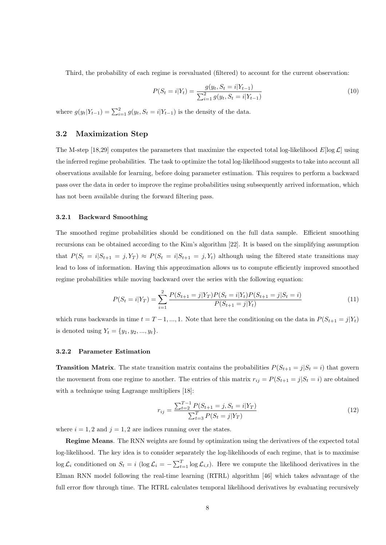Third, the probability of each regime is reevaluated (filtered) to account for the current observation:

$$
P(S_t = i | Y_t) = \frac{g(y_t, S_t = i | Y_{t-1})}{\sum_{i=1}^{2} g(y_t, S_t = i | Y_{t-1})}
$$
(10)

where  $g(y_t|Y_{t-1}) = \sum_{i=1}^{2} g(y_t, S_t = i|Y_{t-1})$  is the density of the data.

## **3.2 Maximization Step**

The M-step [18,29] computes the parameters that maximize the expected total log-likelihood  $E[\log \mathcal{L}]$  using the inferred regime probabilities. The task to optimize the total log-likelihood suggests to take into account all observations available for learning, before doing parameter estimation. This requires to perform a backward pass over the data in order to improve the regime probabilities using subsequently arrived information, which has not been available during the forward filtering pass.

## **3.2.1 Backward Smoothing**

The smoothed regime probabilities should be conditioned on the full data sample. Efficient smoothing recursions can be obtained according to the Kim's algorithm [22]. It is based on the simplifying assumption that  $P(S_t = i | S_{t+1} = j, Y_T) \approx P(S_t = i | S_{t+1} = j, Y_t)$  although using the filtered state transitions may lead to loss of information. Having this approximation allows us to compute efficiently improved smoothed regime probabilities while moving backward over the series with the following equation:

$$
P(S_t = i|Y_T) = \sum_{i=1}^{2} \frac{P(S_{t+1} = j|Y_T)P(S_t = i|Y_t)P(S_{t+1} = j|S_t = i)}{P(S_{t+1} = j|Y_t)}
$$
(11)

which runs backwards in time  $t = T - 1, ..., 1$ . Note that here the conditioning on the data in  $P(S_{t+1} = j|Y_t)$ is denoted using  $Y_t = \{y_1, y_2, ..., y_t\}.$ 

#### **3.2.2 Parameter Estimation**

**Transition Matrix**. The state transition matrix contains the probabilities  $P(S_{t+1} = j | S_t = i)$  that govern the movement from one regime to another. The entries of this matrix  $r_{ij} = P(S_{t+1} = j | S_t = i)$  are obtained with a technique using Lagrange multipliers [18]:

$$
r_{ij} = \frac{\sum_{t=2}^{T-1} P(S_{t+1} = j, S_t = i | Y_T)}{\sum_{t=3}^{T} P(S_t = j | Y_T)}
$$
(12)

where  $i = 1, 2$  and  $j = 1, 2$  are indices running over the states.

**Regime Means**. The RNN weights are found by optimization using the derivatives of the expected total log-likelihood. The key idea is to consider separately the log-likelihoods of each regime, that is to maximise log  $\mathcal{L}_i$  conditioned on  $S_t = i \left( \log \mathcal{L}_i = -\sum_{t=1}^T \log \mathcal{L}_{i,t} \right)$ . Here we compute the likelihood derivatives in the Elman RNN model following the real-time learning (RTRL) algorithm [46] which takes advantage of the full error flow through time. The RTRL calculates temporal likelihood derivatives by evaluating recursively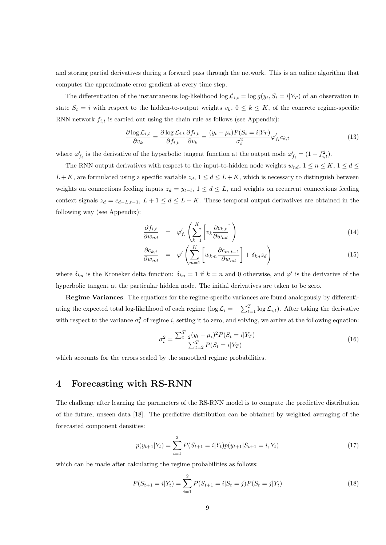and storing partial derivatives during a forward pass through the network. This is an online algorithm that computes the approximate error gradient at every time step.

The differentiation of the instantaneous log-likelihood log  $\mathcal{L}_{i,t} = \log g(y_t, S_t = i|Y_T)$  of an observation in state  $S_t = i$  with respect to the hidden-to-output weights  $v_k$ ,  $0 \leq k \leq K$ , of the concrete regime-specific RNN network  $f_{i,t}$  is carried out using the chain rule as follows (see Appendix):

$$
\frac{\partial \log \mathcal{L}_{i,t}}{\partial v_k} = \frac{\partial \log \mathcal{L}_{i,t}}{\partial f_{i,t}} \frac{\partial f_{i,t}}{\partial v_k} = \frac{(y_t - \mu_i) P(S_t = i | Y_T)}{\sigma_i^2} \varphi_{f_i}^{\prime} c_{k,t}
$$
(13)

where  $\varphi'_{f_i}$  is the derivative of the hyperbolic tangent function at the output node  $\varphi'_{f_i} = (1 - f_{i,t}^2)$ .

The RNN output derivatives with respect to the input-to-hidden node weights  $w_{nd}$ ,  $1 \le n \le K$ ,  $1 \le d \le$  $L + K$ , are formulated using a specific variable  $z_d$ ,  $1 \leq d \leq L + K$ , which is necessary to distinguish between weights on connections feeding inputs  $z_d = y_{t-l}$ ,  $1 \leq d \leq L$ , and weights on recurrent connections feeding context signals  $z_d = c_{d-L,t-1}, L+1 \leq d \leq L+K$ . These temporal output derivatives are obtained in the following way (see Appendix):

$$
\frac{\partial f_{i,t}}{\partial w_{nd}} = \varphi'_{f_i} \left( \sum_{k=1}^{K} \left[ v_k \frac{\partial c_{k,t}}{\partial w_{nd}} \right] \right) \tag{14}
$$

$$
\frac{\partial c_{k,t}}{\partial w_{nd}} = \varphi' \left( \sum_{m=1}^{K} \left[ w_{km} \frac{\partial c_{m,t-1}}{\partial w_{nd}} \right] + \delta_{kn} z_d \right)
$$
(15)

where  $\delta_{kn}$  is the Kroneker delta function:  $\delta_{kn} = 1$  if  $k = n$  and 0 otherwise, and  $\varphi'$  is the derivative of the hyperbolic tangent at the particular hidden node. The initial derivatives are taken to be zero.

**Regime Variances**. The equations for the regime-specific variances are found analogously by differentiating the expected total log-likelihood of each regime (log  $\mathcal{L}_i = -\sum_{t=1}^T \log \mathcal{L}_{i,t}$ ). After taking the derivative with respect to the variance  $\sigma_i^2$  of regime *i*, setting it to zero, and solving, we arrive at the following equation:

$$
\sigma_i^2 = \frac{\sum_{t=2}^T (y_t - \mu_i)^2 P(S_t = i | Y_T)}{\sum_{t=2}^T P(S_t = i | Y_T)}
$$
(16)

which accounts for the errors scaled by the smoothed regime probabilities.

# **4 Forecasting with RS-RNN**

The challenge after learning the parameters of the RS-RNN model is to compute the predictive distribution of the future, unseen data [18]. The predictive distribution can be obtained by weighted averaging of the forecasted component densities:

$$
p(y_{t+1}|Y_t) = \sum_{i=1}^{2} P(S_{t+1} = i|Y_t) p(y_{t+1}|S_{t+1} = i, Y_t)
$$
\n(17)

which can be made after calculating the regime probabilities as follows:

$$
P(S_{t+1} = i|Y_t) = \sum_{i=1}^{2} P(S_{t+1} = i|S_t = j)P(S_t = j|Y_t)
$$
\n(18)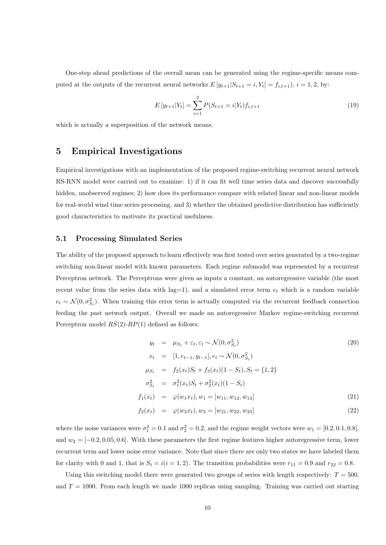One-step ahead predictions of the overall mean can be generated using the regime-specific means computed at the outputs of the recurrent neural networks  $E[y_{t+1}|S_{t+1} = i, Y_t] = f_{i,t+1}$ ,  $i = 1, 2$ , by:

$$
E[y_{t+1}|Y_t] = \sum_{i=1}^{2} P(S_{t+1} = i|Y_t) f_{i,t+1}
$$
\n(19)

which is actually a superposition of the network means.

# **5 Empirical Investigations**

Empirical investigations with an implementation of the proposed regime-switching recurrent neural network RS-RNN model were carried out to examine: 1) if it can fit well time series data and discover successfully hidden, unobserved regimes; 2) how does its performance compare with related linear and non-linear models for real-world wind time series processing, and 3) whether the obtained predictive distribution has sufficiently good characteristics to motivate its practical usefulness.

# **5.1 Processing Simulated Series**

The ability of the proposed approach to learn effectively was first tested over series generated by a two-regime switching non-linear model with known parameters. Each regime submodel was represented by a recurrent Perceptron network. The Perceptrons were given as inputs a constant, an autoregressive variable (the most recent value from the series data with  $lag=1$ ), and a simulated error term  $e_t$  which is a random variable  $e_t \sim \mathcal{N}(0, \sigma_{S_t}^2)$ . When training this error term is actually computed via the recurrent feedback connection feeding the past network output. Overall we made an autoregressive Markov regime-switching recurrent Perceptron model *RS*(2)-*RP*(1) defined as follows:

$$
y_t = \mu_{S_t} + \varepsilon_t, \varepsilon_t \sim \mathcal{N}(0, \sigma_{S_t}^2)
$$
\n
$$
x_t = [1, e_{t-1}, y_{t-1}], e_t \sim \mathcal{N}(0, \sigma_{S_t}^2)
$$
\n
$$
\mu_{S_t} = f_2(x_t)S_t + f_3(x_t)(1 - S_t), S_t = \{1, 2\}
$$
\n
$$
\sigma_{S_t}^2 = \sigma_1^2(x_t)S_t + \sigma_2^2(x_t)(1 - S_t)
$$
\n
$$
f_1(x_t) = \varphi(w_1 x_t), w_1 = [w_{11}, w_{12}, w_{13}]
$$
\n
$$
f_2(x_t) = \varphi(w_2 x_t), w_2 = [w_{21}, w_{22}, w_{23}]
$$
\n(22)

where the noise variances were  $\sigma_1^2 = 0.1$  and  $\sigma_2^2 = 0.2$ , and the regime weight vectors were  $w_1 = [0.2, 0.1, 0.8]$ , and  $w_2 = [-0.2, 0.05, 0.6]$ . With these parameters the first regime features higher autoregressive term, lower recurrent term and lower noise error variance. Note that since there are only two states we have labeled them for clarity with 0 and 1, that is  $S_t = i(i = 1, 2)$ . The transition probabilities were  $r_{11} = 0.9$  and  $r_{22} = 0.8$ .

Using this switching model there were generated two groups of series with length respectively: *T* = 500, and  $T = 1000$ . From each length we made 1000 replicas using sampling. Training was carried out starting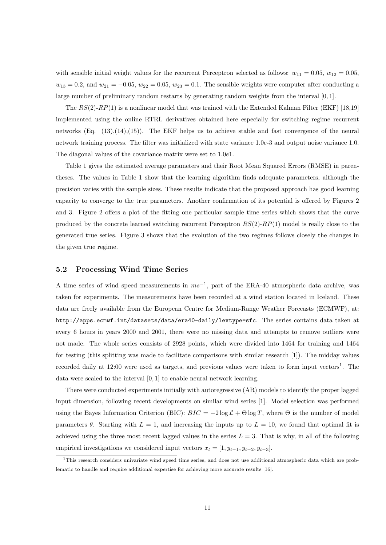with sensible initial weight values for the recurrent Perceptron selected as follows:  $w_{11} = 0.05$ ,  $w_{12} = 0.05$ ,  $w_{13} = 0.2$ , and  $w_{21} = -0.05$ ,  $w_{22} = 0.05$ ,  $w_{23} = 0.1$ . The sensible weights were computer after conducting a large number of preliminary random restarts by generating random weights from the interval [0*,* 1].

The *RS*(2)-*RP*(1) is a nonlinear model that was trained with the Extended Kalman Filter (EKF) [18,19] implemented using the online RTRL derivatives obtained here especially for switching regime recurrent networks (Eq.  $(13),(14),(15)$ ). The EKF helps us to achieve stable and fast convergence of the neural network training process. The filter was initialized with state variance 1*.*0*e*-3 and output noise variance 1*.*0. The diagonal values of the covariance matrix were set to 1*.*0*e*1.

Table 1 gives the estimated average parameters and their Root Mean Squared Errors (RMSE) in parentheses. The values in Table 1 show that the learning algorithm finds adequate parameters, although the precision varies with the sample sizes. These results indicate that the proposed approach has good learning capacity to converge to the true parameters. Another confirmation of its potential is offered by Figures 2 and 3. Figure 2 offers a plot of the fitting one particular sample time series which shows that the curve produced by the concrete learned switching recurrent Perceptron *RS*(2)-*RP*(1) model is really close to the generated true series. Figure 3 shows that the evolution of the two regimes follows closely the changes in the given true regime.

#### **5.2 Processing Wind Time Series**

A time series of wind speed measurements in *ms−*<sup>1</sup> , part of the ERA-40 atmospheric data archive, was taken for experiments. The measurements have been recorded at a wind station located in Iceland. These data are freely available from the European Centre for Medium-Range Weather Forecasts (ECMWF), at: http://apps.ecmwf.int/datasets/data/era40-daily/levtype=sfc. The series contains data taken at every 6 hours in years 2000 and 2001, there were no missing data and attempts to remove outliers were not made. The whole series consists of 2928 points, which were divided into 1464 for training and 1464 for testing (this splitting was made to facilitate comparisons with similar research [1]). The midday values recorded daily at 12:00 were used as targets, and previous values were taken to form input vectors<sup>1</sup>. The data were scaled to the interval [0*,* 1] to enable neural network learning.

There were conducted experiments initially with autoregressive (AR) models to identify the proper lagged input dimension, following recent developments on similar wind series [1]. Model selection was performed using the Bayes Information Criterion (BIC):  $BIC = -2 \log \mathcal{L} + \Theta \log T$ , where  $\Theta$  is the number of model parameters  $\theta$ . Starting with  $L = 1$ , and increasing the inputs up to  $L = 10$ , we found that optimal fit is achieved using the three most recent lagged values in the series  $L = 3$ . That is why, in all of the following empirical investigations we considered input vectors  $x_t = [1, y_{t-1}, y_{t-2}, y_{t-3}].$ 

<sup>1</sup>This research considers univariate wind speed time series, and does not use additional atmospheric data which are problematic to handle and require additional expertise for achieving more accurate results [16].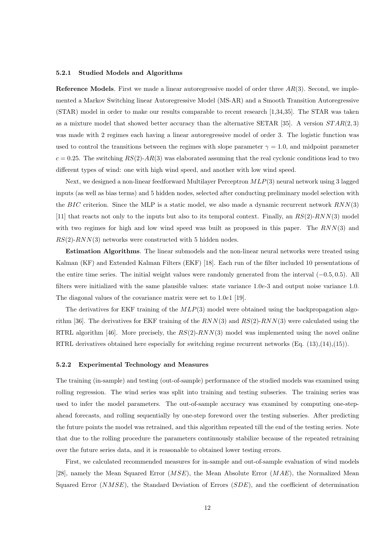#### **5.2.1 Studied Models and Algorithms**

**Reference Models**. First we made a linear autoregressive model of order three *AR*(3). Second, we implemented a Markov Switching linear Autoregressive Model (MS-AR) and a Smooth Transition Autoregressive (STAR) model in order to make our results comparable to recent research [1,34,35]. The STAR was taken as a mixture model that showed better accuracy than the alternative SETAR [35]. A version *ST AR*(2*,* 3) was made with 2 regimes each having a linear autoregressive model of order 3. The logistic function was used to control the transitions between the regimes with slope parameter  $\gamma = 1.0$ , and midpoint parameter  $c = 0.25$ . The switching  $RS(2)$ - $AR(3)$  was elaborated assuming that the real cyclonic conditions lead to two different types of wind: one with high wind speed, and another with low wind speed.

Next, we designed a non-linear feedforward Multilayer Perceptron *MLP*(3) neural network using 3 lagged inputs (as well as bias terms) and 5 hidden nodes, selected after conducting preliminary model selection with the *BIC* criterion. Since the MLP is a static model, we also made a dynamic recurrent network *RNN*(3) [11] that reacts not only to the inputs but also to its temporal context. Finally, an *RS*(2)-*RNN*(3) model with two regimes for high and low wind speed was built as proposed in this paper. The *RNN*(3) and *RS*(2)-*RNN*(3) networks were constructed with 5 hidden nodes.

**Estimation Algorithms**. The linear submodels and the non-linear neural networks were treated using Kalman (KF) and Extended Kalman Filters (EKF) [18]. Each run of the filter included 10 presentations of the entire time series. The initial weight values were randomly generated from the interval (*−*0*.*5*,* 0*.*5). All filters were initialized with the same plausible values: state variance 1*.*0*e*-3 and output noise variance 1*.*0. The diagonal values of the covariance matrix were set to 1*.*0*e*1 [19].

The derivatives for EKF training of the *MLP*(3) model were obtained using the backpropagation algorithm [36]. The derivatives for EKF training of the *RNN*(3) and *RS*(2)-*RNN*(3) were calculated using the RTRL algorithm [46]. More precisely, the *RS*(2)-*RNN*(3) model was implemented using the novel online RTRL derivatives obtained here especially for switching regime recurrent networks (Eq. (13),(14),(15)).

#### **5.2.2 Experimental Technology and Measures**

The training (in-sample) and testing (out-of-sample) performance of the studied models was examined using rolling regression. The wind series was split into training and testing subseries. The training series was used to infer the model parameters. The out-of-sample accuracy was examined by computing one-stepahead forecasts, and rolling sequentially by one-step foreword over the testing subseries. After predicting the future points the model was retrained, and this algorithm repeated till the end of the testing series. Note that due to the rolling procedure the parameters continuously stabilize because of the repeated retraining over the future series data, and it is reasonable to obtained lower testing errors.

First, we calculated recommended measures for in-sample and out-of-sample evaluation of wind models [28], namely the Mean Squared Error (*MSE*), the Mean Absolute Error (*MAE*), the Normalized Mean Squared Error (*NMSE*), the Standard Deviation of Errors (*SDE*), and the coefficient of determination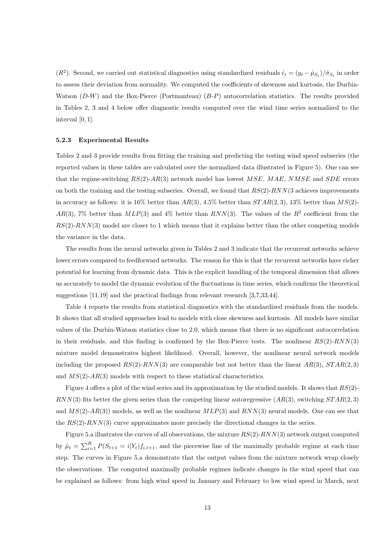( $R^2$ ). Second, we carried out statistical diagnostics using standardized residuals  $\hat{\epsilon}_t = (y_t - \hat{\mu}_{S_t})/\hat{\sigma}_{S_t}$  in order to assess their deviation from normality. We computed the coefficients of skewness and kurtosis, the Durbin-Watson (*D*-*W*) and the Box-Pierce (Portmanteau) (*B*-*P*) autocorrelation statistics. The results provided in Tables 2, 3 and 4 below offer diagnostic results computed over the wind time series normalized to the interval [0*,* 1].

#### **5.2.3 Experimental Results**

Tables 2 and 3 provide results from fitting the training and predicting the testing wind speed subseries (the reported values in these tables are calculated over the normalized data illustrated in Figure 5). One can see that the regime-switching *RS*(2)-*AR*(3) network model has lowest *MSE*, *MAE*, *NMSE* and *SDE* errors on both the training and the testing subseries. Overall, we found that *RS*(2)-*RNN*(3 achieves improvements in accuracy as follows: it is 16% better than *AR*(3), 4*.*5% better than *ST AR*(2*,* 3), 13% better than *MS*(2)- *AR*(3), 7% better than  $MLP(3)$  and 4% better than  $RNN(3)$ . The values of the  $R<sup>2</sup>$  coefficient from the *RS*(2)-*RNN*(3) model are closer to 1 which means that it explains better than the other competing models the variance in the data.

The results from the neural networks given in Tables 2 and 3 indicate that the recurrent networks achieve lower errors compared to feedforward networks. The reason for this is that the recurrent networks have richer potential for learning from dynamic data. This is the explicit handling of the temporal dimension that allows us accurately to model the dynamic evolution of the fluctuations in time series, which confirms the theoretical suggestions [11,19] and the practical findings from relevant research [3,7,33,44].

Table 4 reports the results from statistical diagnostics with the standardized residuals from the models. It shows that all studied approaches lead to models with close skewness and kurtosis. All models have similar values of the Durbin-Watson statistics close to 2*.*0, which means that there is no significant autocorrelation in their residuals, and this finding is confirmed by the Box-Pierce tests. The nonlinear *RS*(2)-*RNN*(3) mixture model demonstrates highest likelihood. Overall, however, the nonlinear neural network models including the proposed  $RS(2)$ - $RNN(3)$  are comparable but not better than the linear  $AR(3)$ ,  $STAR(2,3)$ and *MS*(2)-*AR*(3) models with respect to these statistical characteristics.

Figure 4 offers a plot of the wind series and its approximation by the studied models. It shows that *RS*(2)- *RNN*(3) fits better the given series than the competing linear autoregressive (*AR*(3), switching *ST AR*(2*,* 3) and *MS*(2)-*AR*(3)) models, as well as the nonlinear *MLP*(3) and *RNN*(3) neural models. One can see that the *RS*(2)-*RNN*(3) curve approximates more precisely the directional changes in the series.

Figure 5.a illustrates the curves of all observations, the mixture *RS*(2)-*RNN*(3) network output computed by  $\hat{\mu}_t = \sum_{i=1}^R P(S_{t+1} = i | Y_t) f_{i,t+1}$ , and the piecewise line of the maximally probable regime at each time step. The curves in Figure 5.a demonstrate that the output values from the mixture network wrap closely the observations. The computed maximally probable regimes indicate changes in the wind speed that can be explained as follows: from high wind speed in January and February to low wind speed in March, next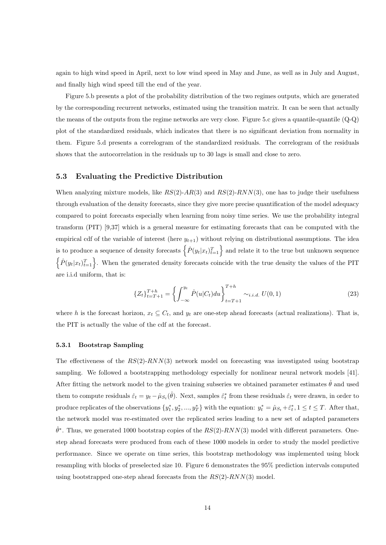again to high wind speed in April, next to low wind speed in May and June, as well as in July and August, and finally high wind speed till the end of the year.

Figure 5.b presents a plot of the probability distribution of the two regimes outputs, which are generated by the corresponding recurrent networks, estimated using the transition matrix. It can be seen that actually the means of the outputs from the regime networks are very close. Figure 5.c gives a quantile-quantile (Q-Q) plot of the standardized residuals, which indicates that there is no significant deviation from normality in them. Figure 5.d presents a correlogram of the standardized residuals. The correlogram of the residuals shows that the autocorrelation in the residuals up to 30 lags is small and close to zero.

## **5.3 Evaluating the Predictive Distribution**

When analyzing mixture models, like *RS*(2)-*AR*(3) and *RS*(2)-*RNN*(3), one has to judge their usefulness through evaluation of the density forecasts, since they give more precise quantification of the model adequacy compared to point forecasts especially when learning from noisy time series. We use the probability integral transform (PIT) [9,37] which is a general measure for estimating forecasts that can be computed with the empirical cdf of the variable of interest (here  $y_{t+1}$ ) without relying on distributional assumptions. The idea is to produce a sequence of density forecasts  $\left\{\hat{P}(y_t|x_t)_{t=1}^T\right\}$  and relate it to the true but unknown sequence  $\left\{\hat{P}(y_t|x_t)_{t=1}^T\right\}$ . When the generated density forecasts coincide with the true density the values of the PIT are i.i.d uniform, that is:

$$
\{Z_t\}_{t=T+1}^{T+h} = \left\{ \int_{-\infty}^{y_t} \hat{P}(u|C_t) du \right\}_{t=T+1}^{T+h} \sim_{i.i.d.} U(0,1)
$$
\n(23)

where *h* is the forecast horizon,  $x_t \subseteq C_t$ , and  $y_t$  are one-step ahead forecasts (actual realizations). That is, the PIT is actually the value of the cdf at the forecast.

#### **5.3.1 Bootstrap Sampling**

The effectiveness of the *RS*(2)-*RNN*(3) network model on forecasting was investigated using bootstrap sampling. We followed a bootstrapping methodology especially for nonlinear neural network models [41]. After fitting the network model to the given training subseries we obtained parameter estimates  $\hat{\theta}$  and used them to compute residuals  $\hat{\varepsilon}_t = y_t - \hat{\mu}_{S_t}(\hat{\theta})$ . Next, samples  $\hat{\varepsilon}_t^*$  from these residuals  $\hat{\varepsilon}_t$  were drawn, in order to produce replicates of the observations  $\{y_1^*, y_2^*, ..., y_T^*\}$  with the equation:  $y_t^* = \hat{\mu}_{S_t} + \hat{\varepsilon}_t^*, 1 \le t \le T$ . After that, the network model was re-estimated over the replicated series leading to a new set of adapted parameters  $\hat{\theta}^*$ . Thus, we generated 1000 bootstrap copies of the  $RS(2)$ - $RNN(3)$  model with different parameters. Onestep ahead forecasts were produced from each of these 1000 models in order to study the model predictive performance. Since we operate on time series, this bootstrap methodology was implemented using block resampling with blocks of preselected size 10. Figure 6 demonstrates the 95% prediction intervals computed using bootstrapped one-step ahead forecasts from the *RS*(2)-*RNN*(3) model.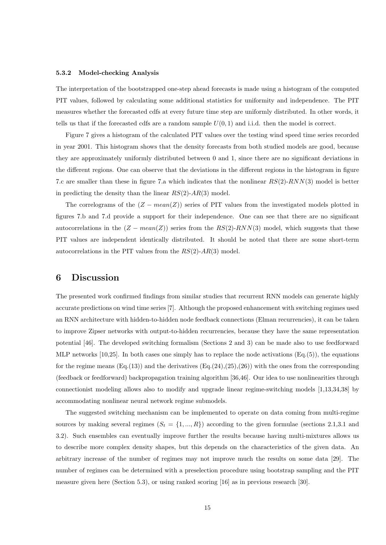#### **5.3.2 Model-checking Analysis**

The interpretation of the bootstrapped one-step ahead forecasts is made using a histogram of the computed PIT values, followed by calculating some additional statistics for uniformity and independence. The PIT measures whether the forecasted cdfs at every future time step are uniformly distributed. In other words, it tells us that if the forecasted cdfs are a random sample  $U(0,1)$  and i.i.d. then the model is correct.

Figure 7 gives a histogram of the calculated PIT values over the testing wind speed time series recorded in year 2001. This histogram shows that the density forecasts from both studied models are good, because they are approximately uniformly distributed between 0 and 1, since there are no significant deviations in the different regions. One can observe that the deviations in the different regions in the histogram in figure 7.c are smaller than these in figure 7.a which indicates that the nonlinear *RS*(2)-*RNN*(3) model is better in predicting the density than the linear *RS*(2)-*AR*(3) model.

The correlograms of the (*Z − mean*(*Z*)) series of PIT values from the investigated models plotted in figures 7.b and 7.d provide a support for their independence. One can see that there are no significant autocorrelations in the  $(Z - mean(Z))$  series from the  $RS(2)$ - $RNN(3)$  model, which suggests that these PIT values are independent identically distributed. It should be noted that there are some short-term autocorrelations in the PIT values from the *RS*(2)-*AR*(3) model.

# **6 Discussion**

The presented work confirmed findings from similar studies that recurrent RNN models can generate highly accurate predictions on wind time series [7]. Although the proposed enhancement with switching regimes used an RNN architecture with hidden-to-hidden node feedback connections (Elman recurrencies), it can be taken to improve Zipser networks with output-to-hidden recurrencies, because they have the same representation potential [46]. The developed switching formalism (Sections 2 and 3) can be made also to use feedforward MLP networks  $[10,25]$ . In both cases one simply has to replace the node activations  $(Eq.5)$ , the equations for the regime means  $(Eq.(13))$  and the derivatives  $(Eq.(24),(25),(26))$  with the ones from the corresponding (feedback or feedforward) backpropagation training algorithm [36,46]. Our idea to use nonlinearities through connectionist modeling allows also to modify and upgrade linear regime-switching models [1,13,34,38] by accommodating nonlinear neural network regime submodels.

The suggested switching mechanism can be implemented to operate on data coming from multi-regime sources by making several regimes  $(S_t = \{1, ..., R\})$  according to the given formulae (sections 2.1,3.1 and 3.2). Such ensembles can eventually improve further the results because having multi-mixtures allows us to describe more complex density shapes, but this depends on the characteristics of the given data. An arbitrary increase of the number of regimes may not improve much the results on some data [29]. The number of regimes can be determined with a preselection procedure using bootstrap sampling and the PIT measure given here (Section 5.3), or using ranked scoring [16] as in previous research [30].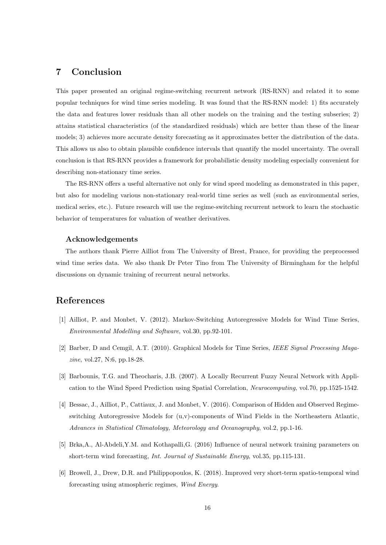# **7 Conclusion**

This paper presented an original regime-switching recurrent network (RS-RNN) and related it to some popular techniques for wind time series modeling. It was found that the RS-RNN model: 1) fits accurately the data and features lower residuals than all other models on the training and the testing subseries; 2) attains statistical characteristics (of the standardized residuals) which are better than these of the linear models; 3) achieves more accurate density forecasting as it approximates better the distribution of the data. This allows us also to obtain plausible confidence intervals that quantify the model uncertainty. The overall conclusion is that RS-RNN provides a framework for probabilistic density modeling especially convenient for describing non-stationary time series.

The RS-RNN offers a useful alternative not only for wind speed modeling as demonstrated in this paper, but also for modeling various non-stationary real-world time series as well (such as environmental series, medical series, etc.). Future research will use the regime-switching recurrent network to learn the stochastic behavior of temperatures for valuation of weather derivatives.

# **Acknowledgements**

The authors thank Pierre Ailliot from The University of Brest, France, for providing the preprocessed wind time series data. We also thank Dr Peter Tino from The University of Birmingham for the helpful discussions on dynamic training of recurrent neural networks.

# **References**

- [1] Ailliot, P. and Monbet, V. (2012). Markov-Switching Autoregressive Models for Wind Time Series, *Environmental Modelling and Software*, vol.30, pp.92-101.
- [2] Barber, D and Cemgil, A.T. (2010). Graphical Models for Time Series, *IEEE Signal Processing Magazine*, vol.27, N:6, pp.18-28.
- [3] Barbounis, T.G. and Theocharis, J.B. (2007). A Locally Recurrent Fuzzy Neural Network with Application to the Wind Speed Prediction using Spatial Correlation, *Neurocomputing*, vol.70, pp.1525-1542.
- [4] Bessac, J., Ailliot, P., Cattiaux, J. and Monbet, V. (2016). Comparison of Hidden and Observed Regimeswitching Autoregressive Models for (u,v)-components of Wind Fields in the Northeastern Atlantic, *Advances in Statistical Climatology, Meteorology and Oceanography*, vol.2, pp.1-16.
- [5] Brka,A., Al-Abdeli,Y.M. and Kothapalli,G. (2016) Influence of neural network training parameters on short-term wind forecasting, *Int. Journal of Sustainable Energy*, vol.35, pp.115-131.
- [6] Browell, J., Drew, D.R. and Philippopoulos, K. (2018). Improved very short-term spatio-temporal wind forecasting using atmospheric regimes, *Wind Energy*.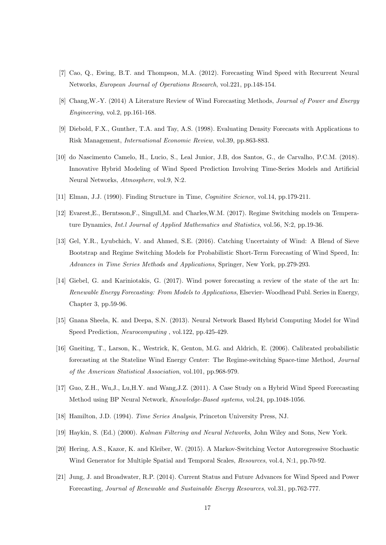- [7] Cao, Q., Ewing, B.T. and Thompson, M.A. (2012). Forecasting Wind Speed with Recurrent Neural Networks, *European Journal of Operations Research*, vol.221, pp.148-154.
- [8] Chang,W.-Y. (2014) A Literature Review of Wind Forecasting Methods, *Journal of Power and Energy Engineering*, vol.2, pp.161-168.
- [9] Diebold, F.X., Gunther, T.A. and Tay, A.S. (1998). Evaluating Density Forecasts with Applications to Risk Management, *International Economic Review*, vol.39, pp.863-883.
- [10] do Nascimento Camelo, H., Lucio, S., Leal Junior, J.B, dos Santos, G., de Carvalho, P.C.M. (2018). Innovative Hybrid Modeling of Wind Speed Prediction Involving Time-Series Models and Artificial Neural Networks, *Atmosphere*, vol.9, N:2.
- [11] Elman, J.J. (1990). Finding Structure in Time, *Cognitive Science*, vol.14, pp.179-211.
- [12] Evarest,E., Berntsson,F., Singull,M. and Charles,W.M. (2017). Regime Switching models on Temperature Dynamics, *Int.l Journal of Applied Mathematics and Statistics*, vol.56, N:2, pp.19-36.
- [13] Gel, Y.R., Lyubchich, V. and Ahmed, S.E. (2016). Catching Uncertainty of Wind: A Blend of Sieve Bootstrap and Regime Switching Models for Probabilistic Short-Term Forecasting of Wind Speed, In: *Advances in Time Series Methods and Applications*, Springer, New York, pp.279-293.
- [14] Giebel, G. and Kariniotakis, G. (2017). Wind power forecasting a review of the state of the art In: *Renewable Energy Forecasting: From Models to Applications*, Elsevier- Woodhead Publ. Series in Energy, Chapter 3, pp.59-96.
- [15] Gnana Sheela, K. and Deepa, S.N. (2013). Neural Network Based Hybrid Computing Model for Wind Speed Prediction, *Neurocomputing* , vol.122, pp.425-429.
- [16] Gneiting, T., Larson, K., Westrick, K, Genton, M.G. and Aldrich, E. (2006). Calibrated probabilistic forecasting at the Stateline Wind Energy Center: The Regime-switching Space-time Method, *Journal of the American Statistical Association*, vol.101, pp.968-979.
- [17] Guo, Z.H., Wu,J., Lu,H.Y. and Wang,J.Z. (2011). A Case Study on a Hybrid Wind Speed Forecasting Method using BP Neural Network, *Knowledge-Based systems*, vol.24, pp.1048-1056.
- [18] Hamilton, J.D. (1994). *Time Series Analysis*, Princeton University Press, NJ.
- [19] Haykin, S. (Ed.) (2000). *Kalman Filtering and Neural Networks*, John Wiley and Sons, New York.
- [20] Hering, A.S., Kazor, K. and Kleiber, W. (2015). A Markov-Switching Vector Autoregressive Stochastic Wind Generator for Multiple Spatial and Temporal Scales, *Resources*, vol.4, N:1, pp.70-92.
- [21] Jung, J. and Broadwater, R.P. (2014). Current Status and Future Advances for Wind Speed and Power Forecasting, *Journal of Renewable and Sustainable Energy Resources*, vol.31, pp.762-777.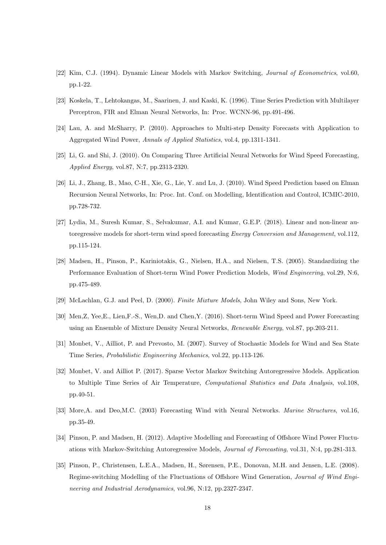- [22] Kim, C.J. (1994). Dynamic Linear Models with Markov Switching, *Journal of Econometrics*, vol.60, pp.1-22.
- [23] Koskela, T., Lehtokangas, M., Saarinen, J. and Kaski, K. (1996). Time Series Prediction with Multilayer Perceptron, FIR and Elman Neural Networks, In: Proc. WCNN-96, pp.491-496.
- [24] Lau, A. and McSharry, P. (2010). Approaches to Multi-step Density Forecasts with Application to Aggregated Wind Power, *Annals of Applied Statistics*, vol.4, pp.1311-1341.
- [25] Li, G. and Shi, J. (2010). On Comparing Three Artificial Neural Networks for Wind Speed Forecasting, *Applied Energy*, vol.87, N:7, pp.2313-2320.
- [26] Li, J., Zhang, B., Mao, C-H., Xie, G., Lie, Y. and Lu, J. (2010). Wind Speed Prediction based on Elman Recursion Neural Networks, In: Proc. Int. Conf. on Modelling, Identification and Control, ICMIC-2010, pp.728-732.
- [27] Lydia, M., Suresh Kumar, S., Selvakumar, A.I. and Kumar, G.E.P. (2018). Linear and non-linear autoregressive models for short-term wind speed forecasting *Energy Conversion and Management*, vol.112, pp.115-124.
- [28] Madsen, H., Pinson, P., Kariniotakis, G., Nielsen, H.A., and Nielsen, T.S. (2005). Standardizing the Performance Evaluation of Short-term Wind Power Prediction Models, *Wind Engineering*, vol.29, N:6, pp.475-489.
- [29] McLachlan, G.J. and Peel, D. (2000). *Finite Mixture Models*, John Wiley and Sons, New York.
- [30] Men,Z, Yee,E., Lien,F.-S., Wen,D. and Chen,Y. (2016). Short-term Wind Speed and Power Forecasting using an Ensemble of Mixture Density Neural Networks, *Renewable Energy*, vol.87, pp.203-211.
- [31] Monbet, V., Ailliot, P. and Prevosto, M. (2007). Survey of Stochastic Models for Wind and Sea State Time Series, *Probabilistic Engineering Mechanics*, vol.22, pp.113-126.
- [32] Monbet, V. and Ailliot P. (2017). Sparse Vector Markov Switching Autoregressive Models. Application to Multiple Time Series of Air Temperature, *Computational Statistics and Data Analysis*, vol.108, pp.40-51.
- [33] More,A. and Deo,M.C. (2003) Forecasting Wind with Neural Networks. *Marine Structures*, vol.16, pp.35-49.
- [34] Pinson, P. and Madsen, H. (2012). Adaptive Modelling and Forecasting of Offshore Wind Power Fluctuations with Markov-Switching Autoregressive Models, *Journal of Forecasting*, vol.31, N:4, pp.281-313.
- [35] Pinson, P., Christensen, L.E.A., Madsen, H., Sørensen, P.E., Donovan, M.H. and Jensen, L.E. (2008). Regime-switching Modelling of the Fluctuations of Offshore Wind Generation, *Journal of Wind Engineering and Industrial Aerodynamics*, vol.96, N:12, pp.2327-2347.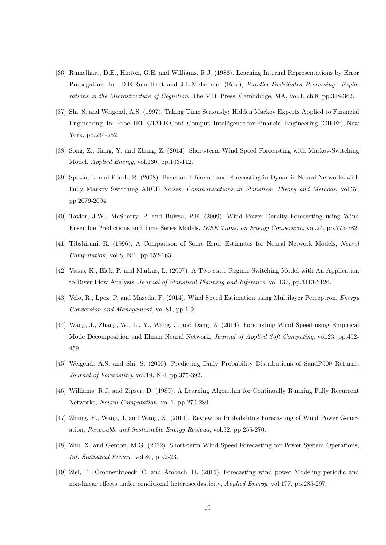- [36] Rumelhart, D.E., Hinton, G.E. and Williams, R.J. (1986). Learning Internal Representations by Error Propagation. In: D.E.Rumelhart and J.L.McLelland (Eds.), *Parallel Distributed Processing: Explorations in the Microstructure of Cognition*, The MIT Press, Cambdidge, MA, vol.1, ch.8, pp.318-362.
- [37] Shi, S. and Weigend, A.S. (1997). Taking Time Seriously: Hidden Markov Experts Applied to Financial Engineering, In: Proc. IEEE/IAFE Conf. Comput. Intelligence for Financial Engineering (CIFEr), New York, pp.244-252.
- [38] Song, Z., Jiang, Y. and Zhang, Z. (2014). Short-term Wind Speed Forecasting with Markov-Switching Model, *Applied Energy*, vol.130, pp.103-112.
- [39] Spezia, L. and Paroli, R. (2008). Bayesian Inference and Forecasting in Dynamic Neural Networks with Fully Markov Switching ARCH Noises, *Communications in Statistics- Theory and Methods*, vol.37, pp.2079-2094.
- [40] Taylor, J.W., McSharry, P. and Buizza, P.E. (2009). Wind Power Density Forecasting using Wind Ensemble Predictions and Time Series Models, *IEEE Trans. on Energy Conversion*, vol.24, pp.775-782.
- [41] Tibshirani, R. (1996). A Comparison of Some Error Estimates for Neural Network Models, *Neural Computation*, vol.8, N:1, pp.152-163.
- [42] Vasas, K., Elek, P. and Markus, L. (2007). A Two-state Regime Switching Model with An Application to River Flow Analysis, *Journal of Statistical Planning and Inference*, vol.137, pp.3113-3126.
- [43] Velo, R., Lpez, P. and Maseda, F. (2014). Wind Speed Estimation using Multilayer Perceptron, *Energy Conversion and Management*, vol.81, pp.1-9.
- [44] Wang, J., Zhang, W., Li, Y., Wang, J. and Dang, Z. (2014). Forecasting Wind Speed using Empirical Mode Decomposition and Elman Neural Network, *Journal of Applied Soft Computing*, vol.23, pp.452- 459.
- [45] Weigend, A.S. and Shi, S. (2000). Predicting Daily Probability Distributions of SandP500 Returns, *Journal of Forecasting*, vol.19, N:4, pp.375-392.
- [46] Williams, R.J. and Zipser, D. (1989). A Learning Algorithm for Continually Running Fully Recurrent Networks, *Neural Computation*, vol.1, pp.270-280.
- [47] Zhang, Y., Wang, J. and Wang, X. (2014). Review on Probabilitics Forecasting of Wind Power Generation, *Renewable and Sustainable Energy Reviews*, vol.32, pp.255-270.
- [48] Zhu, X. and Genton, M.G. (2012). Short-term Wind Speed Forecasting for Power System Operations, *Int. Statistical Review*, vol.80, pp.2-23.
- [49] Ziel, F., Croonenbroeck, C. and Ambach, D. (2016). Forecasting wind power Modeling periodic and non-linear effects under conditional heteroscedasticity, *Applied Energy*, vol.177, pp.285-297.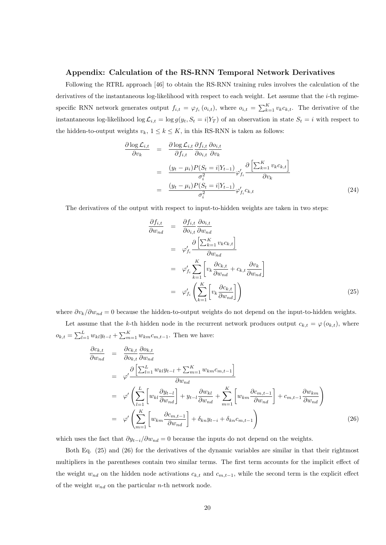# **Appendix: Calculation of the RS-RNN Temporal Network Derivatives**

Following the RTRL approach [46] to obtain the RS-RNN training rules involves the calculation of the derivatives of the instantaneous log-likelihood with respect to each weight. Let assume that the *i*-th regimespecific RNN network generates output  $f_{i,t} = \varphi_{f_i}(o_{i,t})$ , where  $o_{i,t} = \sum_{k=1}^K v_k c_{k,t}$ . The derivative of the instantaneous log-likelihood log  $\mathcal{L}_{i,t} = \log g(y_t, S_t = i | Y_T)$  of an observation in state  $S_t = i$  with respect to the hidden-to-output weights  $v_k$ ,  $1 \leq k \leq K$ , in this RS-RNN is taken as follows:

$$
\frac{\partial \log \mathcal{L}_{i,t}}{\partial v_k} = \frac{\partial \log \mathcal{L}_{i,t}}{\partial f_{i,t}} \frac{\partial f_{i,t}}{\partial o_{i,t}} \frac{\partial o_{i,t}}{\partial v_k}
$$
\n
$$
= \frac{(y_t - \mu_i) P(S_t = i | Y_{t-1})}{\sigma_i^2} \varphi_{f_i}' \frac{\partial \left[\sum_{k=1}^K v_k c_{k,t}\right]}{\partial v_k}
$$
\n
$$
= \frac{(y_t - \mu_i) P(S_t = i | Y_{t-1})}{\sigma_i^2} \varphi_{f_i}' c_{k,t} \tag{24}
$$

The derivatives of the output with respect to input-to-hidden weights are taken in two steps:

$$
\frac{\partial f_{i,t}}{\partial w_{nd}} = \frac{\partial f_{i,t}}{\partial o_{i,t}} \frac{\partial o_{i,t}}{\partial w_{nd}}
$$
\n
$$
= \varphi'_{f_i} \frac{\partial \left[\sum_{k=1}^{K} v_k c_{k,t}\right]}{\partial w_{nd}}
$$
\n
$$
= \varphi'_{f_i} \sum_{k=1}^{K} \left[v_k \frac{\partial c_{k,t}}{\partial w_{nd}} + c_{k,t} \frac{\partial v_k}{\partial w_{nd}}\right]
$$
\n
$$
= \varphi'_{f_i} \left(\sum_{k=1}^{K} \left[v_k \frac{\partial c_{k,t}}{\partial w_{nd}}\right]\right)
$$
\n(25)

where *∂vk/∂wnd* = 0 because the hidden-to-output weights do not depend on the input-to-hidden weights.

Let assume that the *k*-th hidden node in the recurrent network produces output  $c_{k,t} = \varphi(o_{k,t})$ , where  $o_{k,t} = \sum_{l=1}^{L} w_{kl} y_{t-l} + \sum_{m=1}^{K} w_{km} c_{m,t-1}$ . Then we have:

$$
\frac{\partial c_{k,t}}{\partial w_{nd}} = \frac{\partial c_{k,t}}{\partial o_{k,t}} \frac{\partial o_{k,t}}{\partial w_{nd}}
$$
\n
$$
= \varphi' \frac{\partial \left[\sum_{l=1}^{L} w_{kl} y_{t-l} + \sum_{m=1}^{K} w_{km} c_{m,t-1}\right]}{\partial w_{nd}}
$$
\n
$$
= \varphi' \left(\sum_{l=1}^{L} \left[w_{kl} \frac{\partial y_{t-l}}{\partial w_{nd}}\right] + y_{t-l} \frac{\partial w_{kl}}{\partial w_{nd}} + \sum_{m=1}^{K} \left[w_{km} \frac{\partial c_{m,t-1}}{\partial w_{nd}}\right] + c_{m,t-1} \frac{\partial w_{km}}{\partial w_{nd}}\right)
$$
\n
$$
= \varphi' \left(\sum_{m=1}^{K} \left[w_{km} \frac{\partial c_{m,t-1}}{\partial w_{nd}}\right] + \delta_{kn} y_{t-i} + \delta_{kn} c_{m,t-1}\right)
$$
\n(26)

which uses the fact that  $\partial y_{t-i}/\partial w_{nd} = 0$  because the inputs do not depend on the weights.

Both Eq. (25) and (26) for the derivatives of the dynamic variables are similar in that their rightmost multipliers in the parentheses contain two similar terms. The first term accounts for the implicit effect of the weight  $w_{nd}$  on the hidden node activations  $c_{k,t}$  and  $c_{m,t-1}$ , while the second term is the explicit effect of the weight *wnd* on the particular *n*-th network node.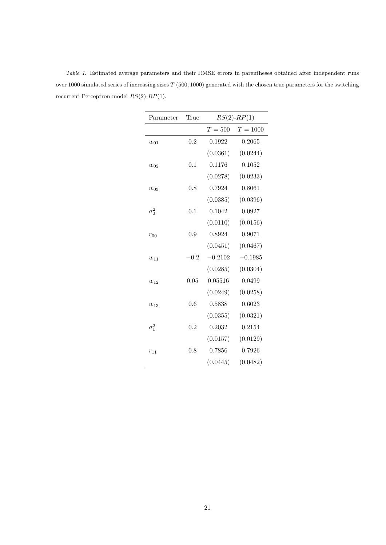| Parameter    | True   | $RS(2)$ - $RP(1)$ |            |  |
|--------------|--------|-------------------|------------|--|
|              |        | $T=500$           | $T = 1000$ |  |
| $w_{01}$     | 0.2    | 0.1922            | 0.2065     |  |
|              |        | (0.0361)          | (0.0244)   |  |
| $w_{02}$     | 0.1    | 0.1176            | 0.1052     |  |
|              |        | (0.0278)          | (0.0233)   |  |
| $w_{03}$     | 0.8    | 0.7924            | 0.8061     |  |
|              |        | (0.0385)          | (0.0396)   |  |
| $\sigma_0^2$ | 0.1    | 0.1042            | 0.0927     |  |
|              |        | (0.0110)          | (0.0156)   |  |
| $r_{00}$     | 0.9    | 0.8924            | 0.9071     |  |
|              |        | (0.0451)          | (0.0467)   |  |
| $w_{11}$     | $-0.2$ | $-0.2102$         | $-0.1985$  |  |
|              |        | (0.0285)          | (0.0304)   |  |
| $w_{12}$     | 0.05   | 0.05516           | 0.0499     |  |
|              |        | (0.0249)          | (0.0258)   |  |
| $w_{13}$     | 0.6    | 0.5838            | 0.6023     |  |
|              |        | (0.0355)          | (0.0321)   |  |
| $\sigma_1^2$ | 0.2    | 0.2032            | 0.2154     |  |
|              |        | (0.0157)          | (0.0129)   |  |
| $r_{11}$     | 0.8    | 0.7856            | 0.7926     |  |
|              |        | (0.0445)          | (0.0482)   |  |

*Table 1*. Estimated average parameters and their RMSE errors in parentheses obtained after independent runs over 1000 simulated series of increasing sizes *T* (500*,* 1000) generated with the chosen true parameters for the switching recurrent Perceptron model *RS*(2)-*RP*(1).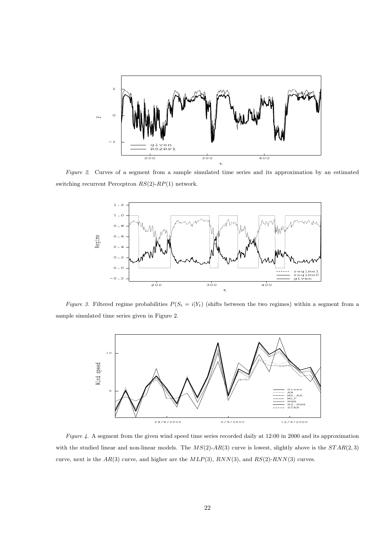

*Figure 2*. Curves of a segment from a sample simulated time series and its approximation by an estimated switching recurrent Perceptron *RS*(2)-*RP*(1) network.



*Figure 3.* Filtered regime probabilities  $P(S_t = i|Y_t)$  (shifts between the two regimes) within a segment from a sample simulated time series given in Figure 2.



*Figure 4*. A segment from the given wind speed time series recorded daily at 12:00 in 2000 and its approximation with the studied linear and non-linear models. The *MS*(2)-*AR*(3) curve is lowest, slightly above is the *ST AR*(2*,* 3) curve, next is the *AR*(3) curve, and higher are the *MLP*(3), *RNN*(3), and *RS*(2)-*RNN*(3) curves.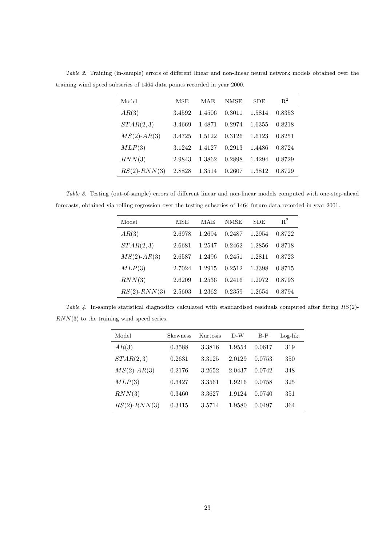| Model              | MSE    | MAE    | <b>NMSE</b> | <b>SDE</b> | $R^2$  |
|--------------------|--------|--------|-------------|------------|--------|
| AR(3)              | 3.4592 | 1.4506 | 0.3011      | 1.5814     | 0.8353 |
| STAR(2,3)          | 3.4669 | 1.4871 | 0.2974      | 1.6355     | 0.8218 |
| $MS(2)$ -AR(3)     | 3.4725 | 1.5122 | 0.3126      | 1.6123     | 0.8251 |
| MLP(3)             | 3.1242 | 1.4127 | 0.2913      | 1.4486     | 0.8724 |
| RNN(3)             | 2.9843 | 1.3862 | 0.2898      | 1.4294     | 0.8729 |
| $RS(2)$ - $RNN(3)$ | 2.8828 | 1.3514 | 0.2607      | 1.3812     | 0.8729 |

*Table 2*. Training (in-sample) errors of different linear and non-linear neural network models obtained over the training wind speed subseries of 1464 data points recorded in year 2000.

*Table 3*. Testing (out-of-sample) errors of different linear and non-linear models computed with one-step-ahead forecasts, obtained via rolling regression over the testing subseries of 1464 future data recorded in year 2001.

| Model              | <b>MSE</b> | MAE    | NMSE   | <b>SDE</b> | $R^2$  |
|--------------------|------------|--------|--------|------------|--------|
| AR(3)              | 2.6978     | 1.2694 | 0.2487 | 1.2954     | 0.8722 |
| STAR(2,3)          | 2.6681     | 1.2547 | 0.2462 | 1.2856     | 0.8718 |
| $MS(2)$ -AR(3)     | 2.6587     | 1.2496 | 0.2451 | 1.2811     | 0.8723 |
| MLP(3)             | 2.7024     | 1.2915 | 0.2512 | 1.3398     | 0.8715 |
| RNN(3)             | 2.6209     | 1.2536 | 0.2416 | 1.2972     | 0.8793 |
| $RS(2)$ - $RNN(3)$ | 2.5603     | 1.2362 | 0.2359 | 1.2654     | 0.8794 |
|                    |            |        |        |            |        |

*Table 4*. In-sample statistical diagnostics calculated with standardised residuals computed after fitting *RS*(2)- *RNN*(3) to the training wind speed series.

| Model              | Skewness | Kurtosis | D-W    | $B-P$  | Log-lik. |
|--------------------|----------|----------|--------|--------|----------|
| AR(3)              | 0.3588   | 3.3816   | 1.9554 | 0.0617 | 319      |
| STAR(2,3)          | 0.2631   | 3.3125   | 2.0129 | 0.0753 | 350      |
| $MS(2)$ -AR(3)     | 0.2176   | 3.2652   | 2.0437 | 0.0742 | 348      |
| MLP(3)             | 0.3427   | 3.3561   | 1.9216 | 0.0758 | 325      |
| RNN(3)             | 0.3460   | 3.3627   | 1.9124 | 0.0740 | 351      |
| $RS(2)$ - $RNN(3)$ | 0.3415   | 3.5714   | 1.9580 | 0.0497 | 364      |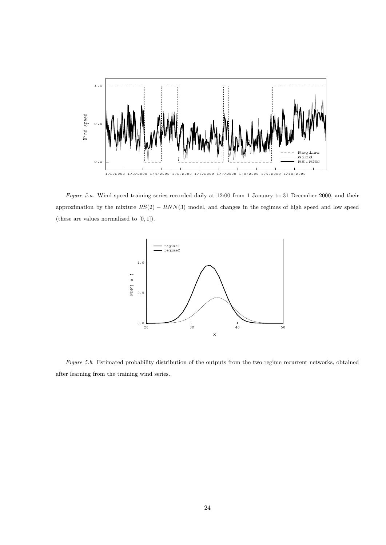

*Figure 5.a*. Wind speed training series recorded daily at 12:00 from 1 January to 31 December 2000, and their approximation by the mixture *RS*(2) *− RNN*(3) model, and changes in the regimes of high speed and low speed (these are values normalized to [0*,* 1]).



*Figure 5.b*. Estimated probability distribution of the outputs from the two regime recurrent networks, obtained after learning from the training wind series.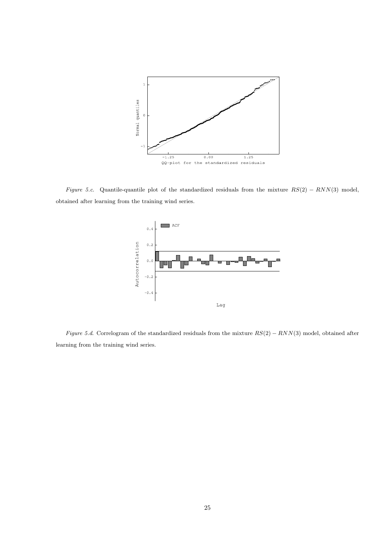

*Figure 5.c*. Quantile-quantile plot of the standardized residuals from the mixture *RS*(2) *− RNN*(3) model, obtained after learning from the training wind series.



*Figure 5.d*. Correlogram of the standardized residuals from the mixture *RS*(2) *− RNN*(3) model, obtained after learning from the training wind series.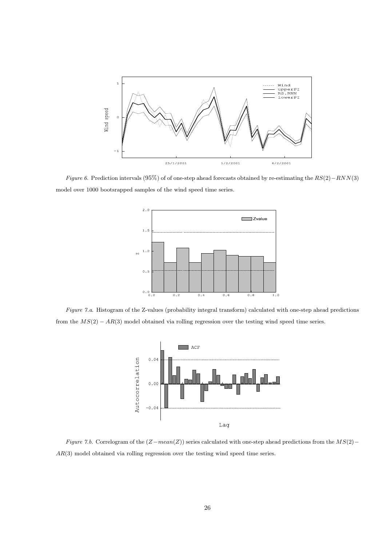

*Figure 6*. Prediction intervals (95%) of of one-step ahead forecasts obtained by re-estimating the *RS*(2)*−RNN*(3) model over 1000 bootsrapped samples of the wind speed time series.



*Figure 7.a*. Histogram of the Z-values (probability integral transform) calculated with one-step ahead predictions from the *MS*(2) *− AR*(3) model obtained via rolling regression over the testing wind speed time series.



*Figure 7.b*. Correlogram of the (*Z−mean*(*Z*)) series calculated with one-step ahead predictions from the *MS*(2)*− AR*(3) model obtained via rolling regression over the testing wind speed time series.